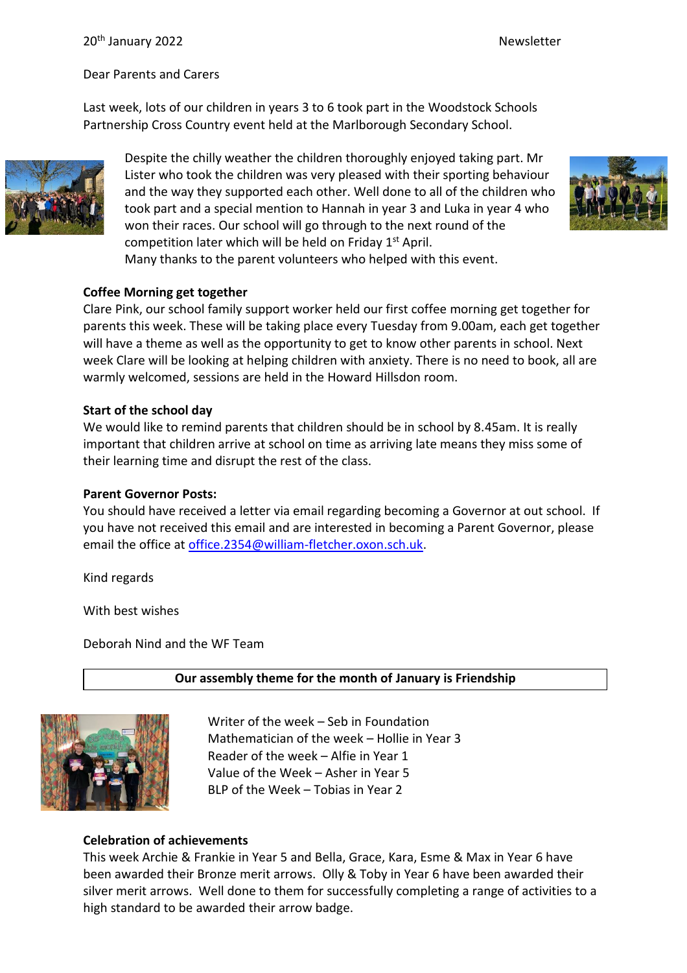#### 20<sup>th</sup> January 2022 **Newsletter** Newsletter

Dear Parents and Carers

Last week, lots of our children in years 3 to 6 took part in the Woodstock Schools Partnership Cross Country event held at the Marlborough Secondary School.



Despite the chilly weather the children thoroughly enjoyed taking part. Mr Lister who took the children was very pleased with their sporting behaviour and the way they supported each other. Well done to all of the children who took part and a special mention to Hannah in year 3 and Luka in year 4 who won their races. Our school will go through to the next round of the competition later which will be held on Friday  $1<sup>st</sup>$  April. Many thanks to the parent volunteers who helped with this event.



#### **Coffee Morning get together**

Clare Pink, our school family support worker held our first coffee morning get together for parents this week. These will be taking place every Tuesday from 9.00am, each get together will have a theme as well as the opportunity to get to know other parents in school. Next week Clare will be looking at helping children with anxiety. There is no need to book, all are warmly welcomed, sessions are held in the Howard Hillsdon room.

#### **Start of the school day**

We would like to remind parents that children should be in school by 8.45am. It is really important that children arrive at school on time as arriving late means they miss some of their learning time and disrupt the rest of the class.

#### **Parent Governor Posts:**

You should have received a letter via email regarding becoming a Governor at out school. If you have not received this email and are interested in becoming a Parent Governor, please email the office at [office.2354@william-fletcher.oxon.sch.uk.](mailto:office.2354@william-fletcher.oxon.sch.uk)

Kind regards

With best wishes

Deborah Nind and the WF Team

### **Our assembly theme for the month of January is Friendship**



Writer of the week – Seb in Foundation Mathematician of the week – Hollie in Year 3 Reader of the week – Alfie in Year 1 Value of the Week – Asher in Year 5 BLP of the Week – Tobias in Year 2

### **Celebration of achievements**

This week Archie & Frankie in Year 5 and Bella, Grace, Kara, Esme & Max in Year 6 have been awarded their Bronze merit arrows. Olly & Toby in Year 6 have been awarded their silver merit arrows. Well done to them for successfully completing a range of activities to a high standard to be awarded their arrow badge.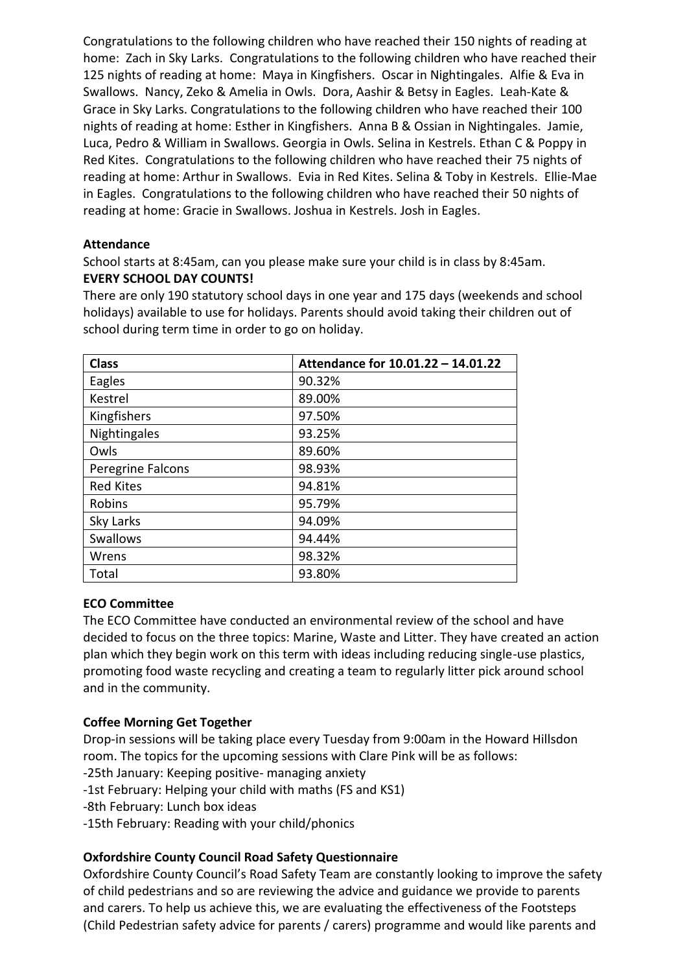Congratulations to the following children who have reached their 150 nights of reading at home: Zach in Sky Larks. Congratulations to the following children who have reached their 125 nights of reading at home: Maya in Kingfishers. Oscar in Nightingales. Alfie & Eva in Swallows. Nancy, Zeko & Amelia in Owls. Dora, Aashir & Betsy in Eagles. Leah-Kate & Grace in Sky Larks. Congratulations to the following children who have reached their 100 nights of reading at home: Esther in Kingfishers. Anna B & Ossian in Nightingales. Jamie, Luca, Pedro & William in Swallows. Georgia in Owls. Selina in Kestrels. Ethan C & Poppy in Red Kites. Congratulations to the following children who have reached their 75 nights of reading at home: Arthur in Swallows. Evia in Red Kites. Selina & Toby in Kestrels. Ellie-Mae in Eagles. Congratulations to the following children who have reached their 50 nights of reading at home: Gracie in Swallows. Joshua in Kestrels. Josh in Eagles.

### **Attendance**

School starts at 8:45am, can you please make sure your child is in class by 8:45am. **EVERY SCHOOL DAY COUNTS!**

There are only 190 statutory school days in one year and 175 days (weekends and school holidays) available to use for holidays. Parents should avoid taking their children out of school during term time in order to go on holiday.

| <b>Class</b>      | Attendance for 10.01.22 - 14.01.22 |
|-------------------|------------------------------------|
| Eagles            | 90.32%                             |
| Kestrel           | 89.00%                             |
| Kingfishers       | 97.50%                             |
| Nightingales      | 93.25%                             |
| Owls              | 89.60%                             |
| Peregrine Falcons | 98.93%                             |
| <b>Red Kites</b>  | 94.81%                             |
| Robins            | 95.79%                             |
| Sky Larks         | 94.09%                             |
| Swallows          | 94.44%                             |
| Wrens             | 98.32%                             |
| Total             | 93.80%                             |

# **ECO Committee**

The ECO Committee have conducted an environmental review of the school and have decided to focus on the three topics: Marine, Waste and Litter. They have created an action plan which they begin work on this term with ideas including reducing single-use plastics, promoting food waste recycling and creating a team to regularly litter pick around school and in the community.

# **Coffee Morning Get Together**

Drop-in sessions will be taking place every Tuesday from 9:00am in the Howard Hillsdon room. The topics for the upcoming sessions with Clare Pink will be as follows: -25th January: Keeping positive- managing anxiety

- -1st February: Helping your child with maths (FS and KS1)
- -8th February: Lunch box ideas
- -15th February: Reading with your child/phonics

# **Oxfordshire County Council Road Safety Questionnaire**

Oxfordshire County Council's Road Safety Team are constantly looking to improve the safety of child pedestrians and so are reviewing the advice and guidance we provide to parents and carers. To help us achieve this, we are evaluating the effectiveness of the Footsteps (Child Pedestrian safety advice for parents / carers) programme and would like parents and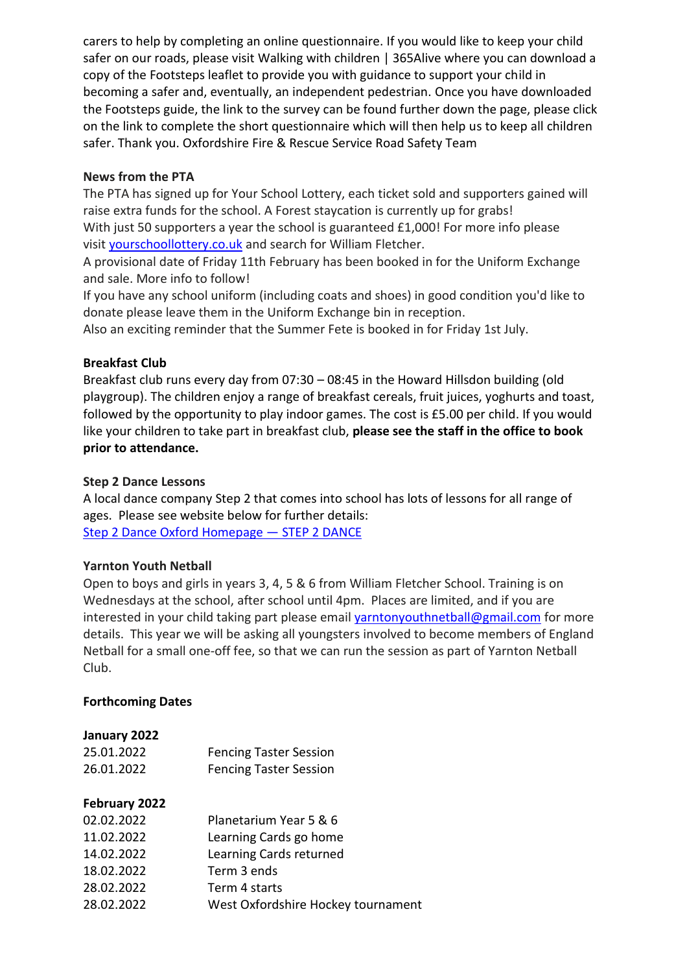carers to help by completing an online questionnaire. If you would like to keep your child safer on our roads, please visit Walking with children | 365Alive where you can download a copy of the Footsteps leaflet to provide you with guidance to support your child in becoming a safer and, eventually, an independent pedestrian. Once you have downloaded the Footsteps guide, the link to the survey can be found further down the page, please click on the link to complete the short questionnaire which will then help us to keep all children safer. Thank you. Oxfordshire Fire & Rescue Service Road Safety Team

### **News from the PTA**

The PTA has signed up for Your School Lottery, each ticket sold and supporters gained will raise extra funds for the school. A Forest staycation is currently up for grabs! With just 50 supporters a year the school is guaranteed £1,000! For more info please

visit [yourschoollottery.co.uk](http://yourschoollottery.co.uk/) and search for William Fletcher.

A provisional date of Friday 11th February has been booked in for the Uniform Exchange and sale. More info to follow!

If you have any school uniform (including coats and shoes) in good condition you'd like to donate please leave them in the Uniform Exchange bin in reception.

Also an exciting reminder that the Summer Fete is booked in for Friday 1st July.

### **Breakfast Club**

Breakfast club runs every day from 07:30 – 08:45 in the Howard Hillsdon building (old playgroup). The children enjoy a range of breakfast cereals, fruit juices, yoghurts and toast, followed by the opportunity to play indoor games. The cost is £5.00 per child. If you would like your children to take part in breakfast club, **please see the staff in the office to book prior to attendance.**

### **Step 2 Dance Lessons**

A local dance company Step 2 that comes into school has lots of lessons for all range of ages. Please see website below for further details: [Step 2 Dance Oxford Homepage](https://www.step2dance.co.uk/home) — STEP 2 DANCE

### **Yarnton Youth Netball**

Open to boys and girls in years 3, 4, 5 & 6 from William Fletcher School. Training is on Wednesdays at the school, after school until 4pm. Places are limited, and if you are interested in your child taking part please email [yarntonyouthnetball@gmail.com](mailto:yarntonyouthnetball@gmail.com) for more details. This year we will be asking all youngsters involved to become members of England Netball for a small one-off fee, so that we can run the session as part of Yarnton Netball Club.

### **Forthcoming Dates**

# **January 2022**

| 25.01.2022 | <b>Fencing Taster Session</b> |
|------------|-------------------------------|
| 26.01.2022 | <b>Fencing Taster Session</b> |

# **February 2022**

| 02.02.2022 | Planetarium Year 5 & 6             |
|------------|------------------------------------|
| 11.02.2022 | Learning Cards go home             |
| 14.02.2022 | Learning Cards returned            |
| 18.02.2022 | Term 3 ends                        |
| 28.02.2022 | Term 4 starts                      |
| 28.02.2022 | West Oxfordshire Hockey tournament |
|            |                                    |